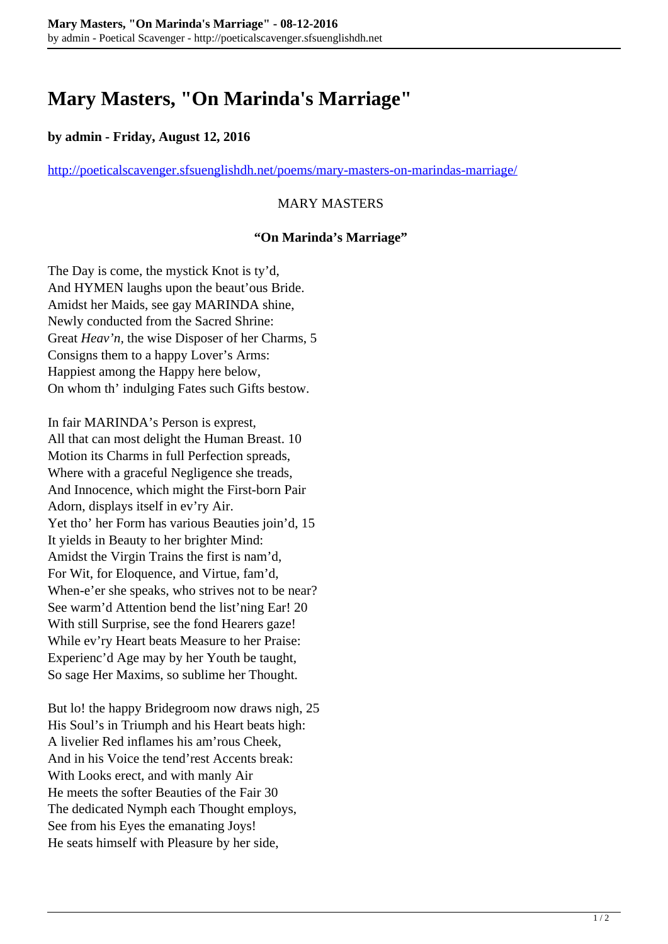# **Mary Masters, "On Marinda's Marriage"**

#### **by admin - Friday, August 12, 2016**

<http://poeticalscavenger.sfsuenglishdh.net/poems/mary-masters-on-marindas-marriage/>

### MARY MASTERS

#### **"On Marinda's Marriage"**

The Day is come, the mystick Knot is ty'd, And HYMEN laughs upon the beaut'ous Bride. Amidst her Maids, see gay MARINDA shine, Newly conducted from the Sacred Shrine: Great *Heav'n,* the wise Disposer of her Charms, 5 Consigns them to a happy Lover's Arms: Happiest among the Happy here below, On whom th' indulging Fates such Gifts bestow.

In fair MARINDA's Person is exprest, All that can most delight the Human Breast. 10 Motion its Charms in full Perfection spreads, Where with a graceful Negligence she treads, And Innocence, which might the First-born Pair Adorn, displays itself in ev'ry Air. Yet tho' her Form has various Beauties join'd, 15 It yields in Beauty to her brighter Mind: Amidst the Virgin Trains the first is nam'd, For Wit, for Eloquence, and Virtue, fam'd, When-e'er she speaks, who strives not to be near? See warm'd Attention bend the list'ning Ear! 20 With still Surprise, see the fond Hearers gaze! While ev'ry Heart beats Measure to her Praise: Experienc'd Age may by her Youth be taught, So sage Her Maxims, so sublime her Thought.

But lo! the happy Bridegroom now draws nigh, 25 His Soul's in Triumph and his Heart beats high: A livelier Red inflames his am'rous Cheek, And in his Voice the tend'rest Accents break: With Looks erect, and with manly Air He meets the softer Beauties of the Fair 30 The dedicated Nymph each Thought employs, See from his Eyes the emanating Joys! He seats himself with Pleasure by her side,